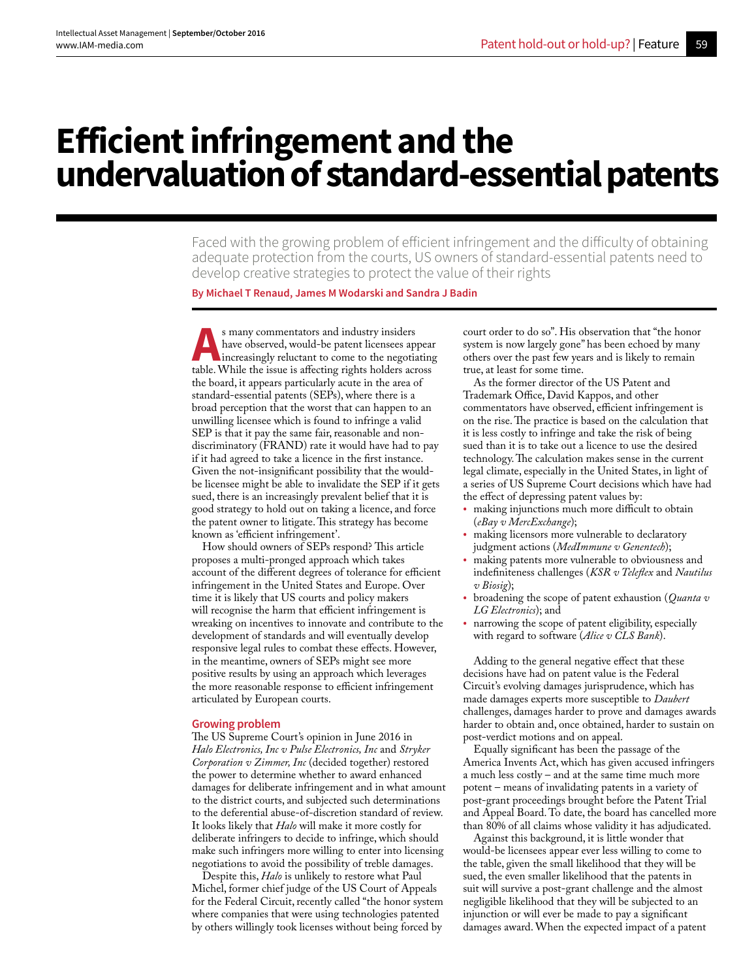# **Efficient infringement and the undervaluation of standard-essential patents**

Faced with the growing problem of efficient infringement and the difficulty of obtaining adequate protection from the courts, US owners of standard-essential patents need to develop creative strategies to protect the value of their rights

**By Michael T Renaud, James M Wodarski and Sandra J Badin**

**A**s many commentators and industry insiders<br>have observed, would-be patent licensees ap<br>increasingly reluctant to come to the negotia<br>table. While the issue is affecting rights holders act have observed, would-be patent licensees appear increasingly reluctant to come to the negotiating table. While the issue is affecting rights holders across the board, it appears particularly acute in the area of standard-essential patents (SEPs), where there is a broad perception that the worst that can happen to an unwilling licensee which is found to infringe a valid SEP is that it pay the same fair, reasonable and nondiscriminatory (FRAND) rate it would have had to pay if it had agreed to take a licence in the first instance. Given the not-insignificant possibility that the wouldbe licensee might be able to invalidate the SEP if it gets sued, there is an increasingly prevalent belief that it is good strategy to hold out on taking a licence, and force the patent owner to litigate. This strategy has become known as 'efficient infringement'.

How should owners of SEPs respond? This article proposes a multi-pronged approach which takes account of the different degrees of tolerance for efficient infringement in the United States and Europe. Over time it is likely that US courts and policy makers will recognise the harm that efficient infringement is wreaking on incentives to innovate and contribute to the development of standards and will eventually develop responsive legal rules to combat these effects. However, in the meantime, owners of SEPs might see more positive results by using an approach which leverages the more reasonable response to efficient infringement articulated by European courts.

## **Growing problem**

The US Supreme Court's opinion in June 2016 in *Halo Electronics, Inc v Pulse Electronics, Inc* and *Stryker Corporation v Zimmer, Inc* (decided together) restored the power to determine whether to award enhanced damages for deliberate infringement and in what amount to the district courts, and subjected such determinations to the deferential abuse-of-discretion standard of review. It looks likely that *Halo* will make it more costly for deliberate infringers to decide to infringe, which should make such infringers more willing to enter into licensing negotiations to avoid the possibility of treble damages.

Despite this, *Halo* is unlikely to restore what Paul Michel, former chief judge of the US Court of Appeals for the Federal Circuit, recently called "the honor system where companies that were using technologies patented by others willingly took licenses without being forced by

court order to do so". His observation that "the honor system is now largely gone" has been echoed by many others over the past few years and is likely to remain true, at least for some time.

As the former director of the US Patent and Trademark Office, David Kappos, and other commentators have observed, efficient infringement is on the rise. The practice is based on the calculation that it is less costly to infringe and take the risk of being sued than it is to take out a licence to use the desired technology. The calculation makes sense in the current legal climate, especially in the United States, in light of a series of US Supreme Court decisions which have had the effect of depressing patent values by:

- making injunctions much more difficult to obtain (*eBay v MercExchange*);
- making licensors more vulnerable to declaratory judgment actions (*MedImmune v Genentech*);
- making patents more vulnerable to obviousness and indefiniteness challenges (*KSR v Teleflex* and *Nautilus v Biosig*);
- broadening the scope of patent exhaustion (*Quanta v LG Electronics*); and
- narrowing the scope of patent eligibility, especially with regard to software (*Alice v CLS Bank*).

Adding to the general negative effect that these decisions have had on patent value is the Federal Circuit's evolving damages jurisprudence, which has made damages experts more susceptible to *Daubert* challenges, damages harder to prove and damages awards harder to obtain and, once obtained, harder to sustain on post-verdict motions and on appeal.

Equally significant has been the passage of the America Invents Act, which has given accused infringers a much less costly – and at the same time much more potent – means of invalidating patents in a variety of post-grant proceedings brought before the Patent Trial and Appeal Board. To date, the board has cancelled more than 80% of all claims whose validity it has adjudicated.

Against this background, it is little wonder that would-be licensees appear ever less willing to come to the table, given the small likelihood that they will be sued, the even smaller likelihood that the patents in suit will survive a post-grant challenge and the almost negligible likelihood that they will be subjected to an injunction or will ever be made to pay a significant damages award. When the expected impact of a patent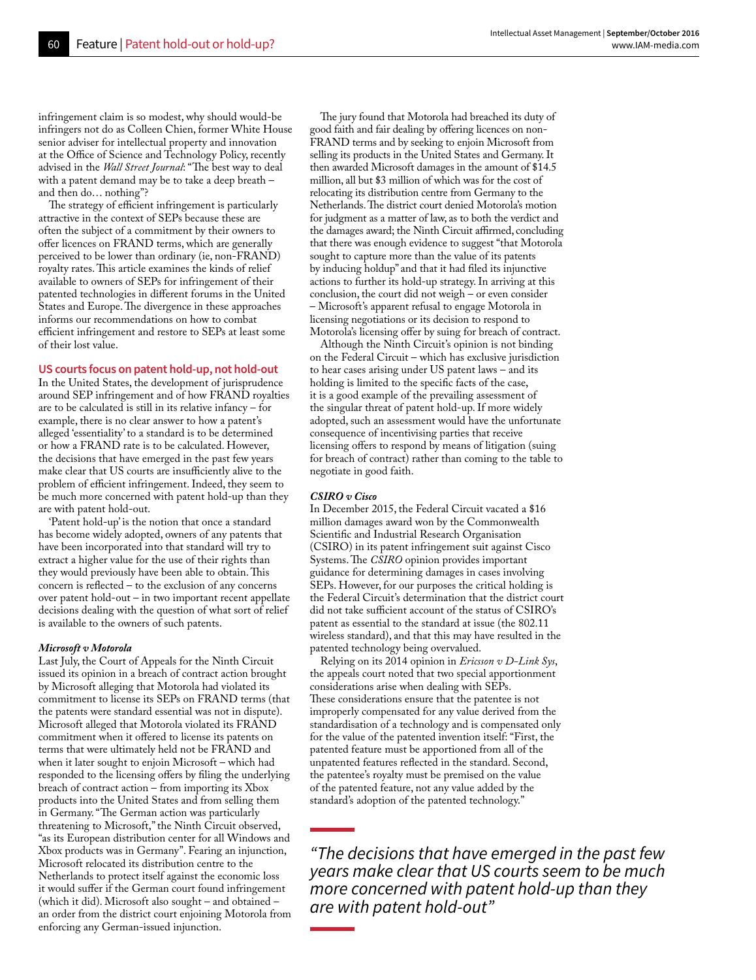infringement claim is so modest, why should would-be infringers not do as Colleen Chien, former White House senior adviser for intellectual property and innovation at the Office of Science and Technology Policy, recently advised in the *Wall Street Journal*: "The best way to deal with a patent demand may be to take a deep breath – and then do… nothing"?

The strategy of efficient infringement is particularly attractive in the context of SEPs because these are often the subject of a commitment by their owners to offer licences on FRAND terms, which are generally perceived to be lower than ordinary (ie, non-FRAND) royalty rates. This article examines the kinds of relief available to owners of SEPs for infringement of their patented technologies in different forums in the United States and Europe. The divergence in these approaches informs our recommendations on how to combat efficient infringement and restore to SEPs at least some of their lost value.

## **US courts focus on patent hold-up, not hold-out**

In the United States, the development of jurisprudence around SEP infringement and of how FRAND royalties are to be calculated is still in its relative infancy – for example, there is no clear answer to how a patent's alleged 'essentiality' to a standard is to be determined or how a FRAND rate is to be calculated. However, the decisions that have emerged in the past few years make clear that US courts are insufficiently alive to the problem of efficient infringement. Indeed, they seem to be much more concerned with patent hold-up than they are with patent hold-out.

'Patent hold-up' is the notion that once a standard has become widely adopted, owners of any patents that have been incorporated into that standard will try to extract a higher value for the use of their rights than they would previously have been able to obtain. This concern is reflected – to the exclusion of any concerns over patent hold-out – in two important recent appellate decisions dealing with the question of what sort of relief is available to the owners of such patents.

## *Microsoft v Motorola*

Last July, the Court of Appeals for the Ninth Circuit issued its opinion in a breach of contract action brought by Microsoft alleging that Motorola had violated its commitment to license its SEPs on FRAND terms (that the patents were standard essential was not in dispute). Microsoft alleged that Motorola violated its FRAND commitment when it offered to license its patents on terms that were ultimately held not be FRAND and when it later sought to enjoin Microsoft – which had responded to the licensing offers by filing the underlying breach of contract action – from importing its Xbox products into the United States and from selling them in Germany. "The German action was particularly threatening to Microsoft," the Ninth Circuit observed, "as its European distribution center for all Windows and Xbox products was in Germany". Fearing an injunction, Microsoft relocated its distribution centre to the Netherlands to protect itself against the economic loss it would suffer if the German court found infringement (which it did). Microsoft also sought – and obtained – an order from the district court enjoining Motorola from enforcing any German-issued injunction.

The jury found that Motorola had breached its duty of good faith and fair dealing by offering licences on non-FRAND terms and by seeking to enjoin Microsoft from selling its products in the United States and Germany. It then awarded Microsoft damages in the amount of \$14.5 million, all but \$3 million of which was for the cost of relocating its distribution centre from Germany to the Netherlands. The district court denied Motorola's motion for judgment as a matter of law, as to both the verdict and the damages award; the Ninth Circuit affirmed, concluding that there was enough evidence to suggest "that Motorola sought to capture more than the value of its patents by inducing holdup" and that it had filed its injunctive actions to further its hold-up strategy. In arriving at this conclusion, the court did not weigh – or even consider – Microsoft's apparent refusal to engage Motorola in licensing negotiations or its decision to respond to Motorola's licensing offer by suing for breach of contract.

Although the Ninth Circuit's opinion is not binding on the Federal Circuit – which has exclusive jurisdiction to hear cases arising under US patent laws – and its holding is limited to the specific facts of the case, it is a good example of the prevailing assessment of the singular threat of patent hold-up. If more widely adopted, such an assessment would have the unfortunate consequence of incentivising parties that receive licensing offers to respond by means of litigation (suing for breach of contract) rather than coming to the table to negotiate in good faith.

#### *CSIRO v Cisco*

In December 2015, the Federal Circuit vacated a \$16 million damages award won by the Commonwealth Scientific and Industrial Research Organisation (CSIRO) in its patent infringement suit against Cisco Systems. The *CSIRO* opinion provides important guidance for determining damages in cases involving SEPs. However, for our purposes the critical holding is the Federal Circuit's determination that the district court did not take sufficient account of the status of CSIRO's patent as essential to the standard at issue (the 802.11 wireless standard), and that this may have resulted in the patented technology being overvalued.

Relying on its 2014 opinion in *Ericsson v D-Link Sys*, the appeals court noted that two special apportionment considerations arise when dealing with SEPs. These considerations ensure that the patentee is not improperly compensated for any value derived from the standardisation of a technology and is compensated only for the value of the patented invention itself: "First, the patented feature must be apportioned from all of the unpatented features reflected in the standard. Second, the patentee's royalty must be premised on the value of the patented feature, not any value added by the standard's adoption of the patented technology."

*"The decisions that have emerged in the past few years make clear that US courts seem to be much more concerned with patent hold-up than they are with patent hold-out"*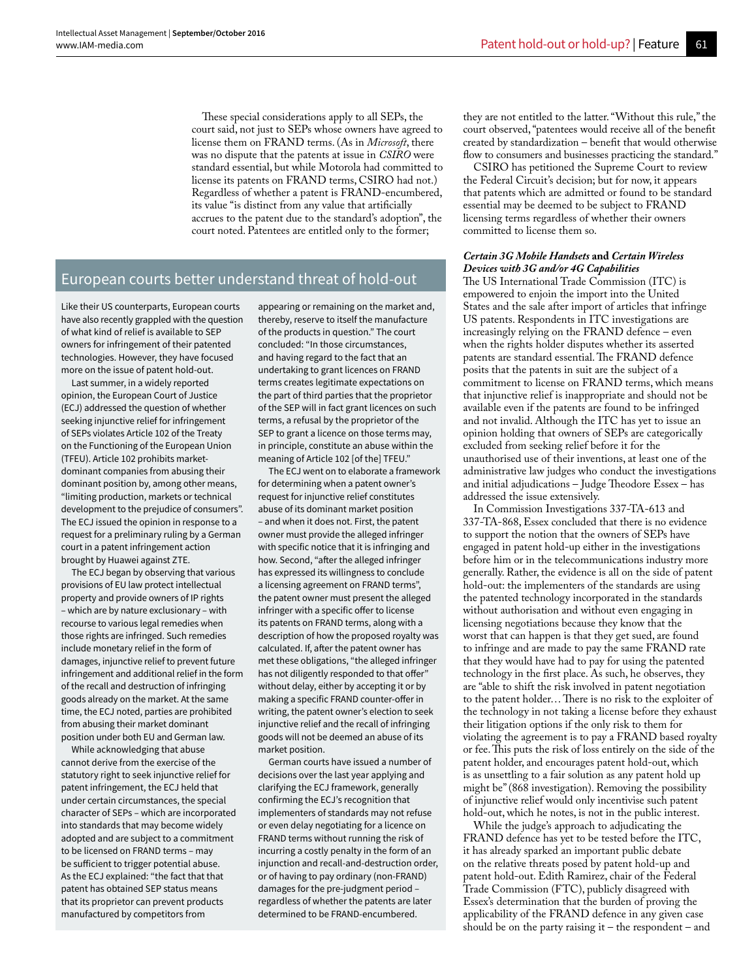These special considerations apply to all SEPs, the court said, not just to SEPs whose owners have agreed to license them on FRAND terms. (As in *Microsoft*, there was no dispute that the patents at issue in *CSIRO* were standard essential, but while Motorola had committed to license its patents on FRAND terms, CSIRO had not.) Regardless of whether a patent is FRAND-encumbered, its value "is distinct from any value that artificially accrues to the patent due to the standard's adoption", the court noted. Patentees are entitled only to the former;

## European courts better understand threat of hold-out

Like their US counterparts, European courts have also recently grappled with the question of what kind of relief is available to SEP owners for infringement of their patented technologies. However, they have focused more on the issue of patent hold-out.

Last summer, in a widely reported opinion, the European Court of Justice (ECJ) addressed the question of whether seeking injunctive relief for infringement of SEPs violates Article 102 of the Treaty on the Functioning of the European Union (TFEU). Article 102 prohibits marketdominant companies from abusing their dominant position by, among other means, "limiting production, markets or technical development to the prejudice of consumers". The ECJ issued the opinion in response to a request for a preliminary ruling by a German court in a patent infringement action brought by Huawei against ZTE.

The ECJ began by observing that various provisions of EU law protect intellectual property and provide owners of IP rights – which are by nature exclusionary – with recourse to various legal remedies when those rights are infringed. Such remedies include monetary relief in the form of damages, injunctive relief to prevent future infringement and additional relief in the form of the recall and destruction of infringing goods already on the market. At the same time, the ECJ noted, parties are prohibited from abusing their market dominant position under both EU and German law.

While acknowledging that abuse cannot derive from the exercise of the statutory right to seek injunctive relief for patent infringement, the ECJ held that under certain circumstances, the special character of SEPs – which are incorporated into standards that may become widely adopted and are subject to a commitment to be licensed on FRAND terms – may be sufficient to trigger potential abuse. As the ECJ explained: "the fact that that patent has obtained SEP status means that its proprietor can prevent products manufactured by competitors from

appearing or remaining on the market and, thereby, reserve to itself the manufacture of the products in question." The court concluded: "In those circumstances, and having regard to the fact that an undertaking to grant licences on FRAND terms creates legitimate expectations on the part of third parties that the proprietor of the SEP will in fact grant licences on such terms, a refusal by the proprietor of the SEP to grant a licence on those terms may, in principle, constitute an abuse within the meaning of Article 102 [of the] TFEU."

The ECJ went on to elaborate a framework for determining when a patent owner's request for injunctive relief constitutes abuse of its dominant market position – and when it does not. First, the patent owner must provide the alleged infringer with specific notice that it is infringing and how. Second, "after the alleged infringer has expressed its willingness to conclude a licensing agreement on FRAND terms", the patent owner must present the alleged infringer with a specific offer to license its patents on FRAND terms, along with a description of how the proposed royalty was calculated. If, after the patent owner has met these obligations, "the alleged infringer has not diligently responded to that offer" without delay, either by accepting it or by making a specific FRAND counter-offer in writing, the patent owner's election to seek injunctive relief and the recall of infringing goods will not be deemed an abuse of its market position.

German courts have issued a number of decisions over the last year applying and clarifying the ECJ framework, generally confirming the ECJ's recognition that implementers of standards may not refuse or even delay negotiating for a licence on FRAND terms without running the risk of incurring a costly penalty in the form of an injunction and recall-and-destruction order, or of having to pay ordinary (non-FRAND) damages for the pre-judgment period – regardless of whether the patents are later determined to be FRAND-encumbered.

they are not entitled to the latter. "Without this rule," the court observed, "patentees would receive all of the benefit created by standardization – benefit that would otherwise flow to consumers and businesses practicing the standard."

CSIRO has petitioned the Supreme Court to review the Federal Circuit's decision; but for now, it appears that patents which are admitted or found to be standard essential may be deemed to be subject to FRAND licensing terms regardless of whether their owners committed to license them so.

#### *Certain 3G Mobile Handsets* **and** *Certain Wireless Devices with 3G and/or 4G Capabilities*

The US International Trade Commission (ITC) is empowered to enjoin the import into the United States and the sale after import of articles that infringe US patents. Respondents in ITC investigations are increasingly relying on the FRAND defence – even when the rights holder disputes whether its asserted patents are standard essential. The FRAND defence posits that the patents in suit are the subject of a commitment to license on FRAND terms, which means that injunctive relief is inappropriate and should not be available even if the patents are found to be infringed and not invalid. Although the ITC has yet to issue an opinion holding that owners of SEPs are categorically excluded from seeking relief before it for the unauthorised use of their inventions, at least one of the administrative law judges who conduct the investigations and initial adjudications – Judge Theodore Essex – has addressed the issue extensively.

In Commission Investigations 337-TA-613 and 337-TA-868, Essex concluded that there is no evidence to support the notion that the owners of SEPs have engaged in patent hold-up either in the investigations before him or in the telecommunications industry more generally. Rather, the evidence is all on the side of patent hold-out: the implementers of the standards are using the patented technology incorporated in the standards without authorisation and without even engaging in licensing negotiations because they know that the worst that can happen is that they get sued, are found to infringe and are made to pay the same FRAND rate that they would have had to pay for using the patented technology in the first place. As such, he observes, they are "able to shift the risk involved in patent negotiation to the patent holder… There is no risk to the exploiter of the technology in not taking a license before they exhaust their litigation options if the only risk to them for violating the agreement is to pay a FRAND based royalty or fee. This puts the risk of loss entirely on the side of the patent holder, and encourages patent hold-out, which is as unsettling to a fair solution as any patent hold up might be" (868 investigation). Removing the possibility of injunctive relief would only incentivise such patent hold-out, which he notes, is not in the public interest.

While the judge's approach to adjudicating the FRAND defence has yet to be tested before the ITC, it has already sparked an important public debate on the relative threats posed by patent hold-up and patent hold-out. Edith Ramirez, chair of the Federal Trade Commission (FTC), publicly disagreed with Essex's determination that the burden of proving the applicability of the FRAND defence in any given case should be on the party raising it – the respondent – and